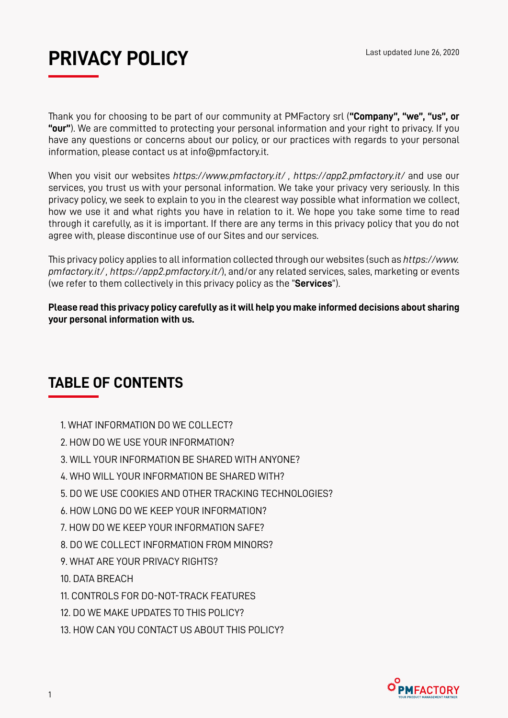

Thank you for choosing to be part of our community at PMFactory srl (**"Company", "we", "us", or "our"**). We are committed to protecting your personal information and your right to privacy. If you have any questions or concerns about our policy, or our practices with regards to your personal information, please contact us at info@pmfactory.it.

When you visit our websites *https://www.pmfactory.it/ , https://app2.pmfactory.it/* and use our services, you trust us with your personal information. We take your privacy very seriously. In this privacy policy, we seek to explain to you in the clearest way possible what information we collect, how we use it and what rights you have in relation to it. We hope you take some time to read through it carefully, as it is important. If there are any terms in this privacy policy that you do not agree with, please discontinue use of our Sites and our services.

This privacy policy applies to all information collected through our websites (such as *https://www. pmfactory.it/ , https://app2.pmfactory.it/*), and/or any related services, sales, marketing or events (we refer to them collectively in this privacy policy as the "**Services**").

**Please read this privacy policy carefully as it will help you make informed decisions about sharing your personal information with us.**

# **TABLE OF CONTENTS**

- 1. WHAT INFORMATION DO WE COLLECT?
- 2. HOW DO WE USE YOUR INFORMATION?
- 3. WILL YOUR INFORMATION BE SHARED WITH ANYONE?
- 4. WHO WILL YOUR INFORMATION BE SHARED WITH?
- 5. DO WE USE COOKIES AND OTHER TRACKING TECHNOLOGIES?
- 6. HOW LONG DO WE KEEP YOUR INFORMATION?
- 7. HOW DO WE KEEP YOUR INFORMATION SAFE?
- 8. DO WE COLLECT INFORMATION FROM MINORS?
- 9. WHAT ARE YOUR PRIVACY RIGHTS?
- 10. DATA BREACH
- 11. CONTROLS FOR DO-NOT-TRACK FEATURES
- 12. DO WE MAKE UPDATES TO THIS POLICY?
- 13. HOW CAN YOU CONTACT US ABOUT THIS POLICY?

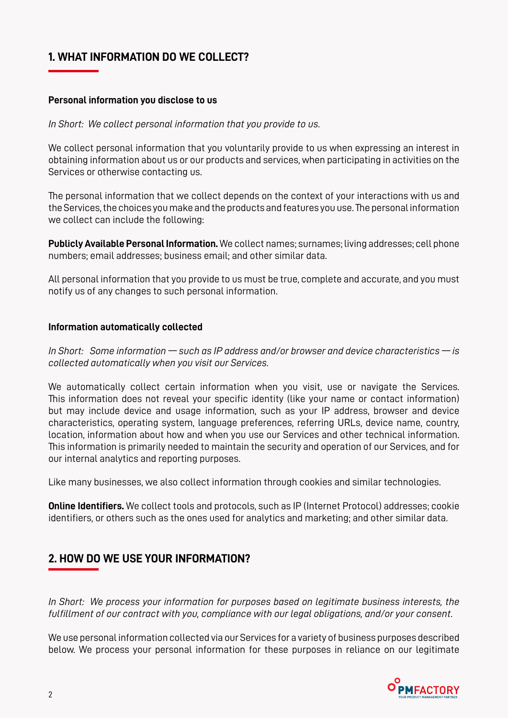#### **1. WHAT INFORMATION DO WE COLLECT?**

#### **Personal information you disclose to us**

*In Short: We collect personal information that you provide to us.*

We collect personal information that you voluntarily provide to us when expressing an interest in obtaining information about us or our products and services, when participating in activities on the Services or otherwise contacting us.

The personal information that we collect depends on the context of your interactions with us and the Services, the choices you make and the products and features you use. The personal information we collect can include the following:

**Publicly Available Personal Information.** We collect names; surnames; living addresses; cell phone numbers; email addresses; business email; and other similar data.

All personal information that you provide to us must be true, complete and accurate, and you must notify us of any changes to such personal information.

#### **Information automatically collected**

*In Short: Some information — such as IP address and/or browser and device characteristics — is collected automatically when you visit our Services.*

We automatically collect certain information when you visit, use or navigate the Services. This information does not reveal your specific identity (like your name or contact information) but may include device and usage information, such as your IP address, browser and device characteristics, operating system, language preferences, referring URLs, device name, country, location, information about how and when you use our Services and other technical information. This information is primarily needed to maintain the security and operation of our Services, and for our internal analytics and reporting purposes.

Like many businesses, we also collect information through cookies and similar technologies.

**Online Identifiers.** We collect tools and protocols, such as IP (Internet Protocol) addresses; cookie identifiers, or others such as the ones used for analytics and marketing; and other similar data.

#### **2. HOW DO WE USE YOUR INFORMATION?**

*In Short: We process your information for purposes based on legitimate business interests, the fulfillment of our contract with you, compliance with our legal obligations, and/or your consent.*

We use personal information collected via our Services for a variety of business purposes described below. We process your personal information for these purposes in reliance on our legitimate

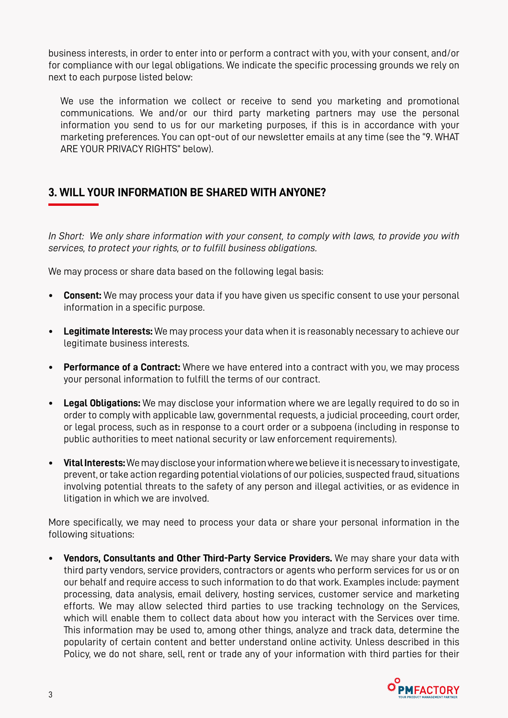business interests, in order to enter into or perform a contract with you, with your consent, and/or for compliance with our legal obligations. We indicate the specific processing grounds we rely on next to each purpose listed below:

We use the information we collect or receive to send you marketing and promotional communications. We and/or our third party marketing partners may use the personal information you send to us for our marketing purposes, if this is in accordance with your marketing preferences. You can opt-out of our newsletter emails at any time (see the "9. WHAT ARE YOUR PRIVACY RIGHTS" below).

#### **3. WILL YOUR INFORMATION BE SHARED WITH ANYONE?**

*In Short: We only share information with your consent, to comply with laws, to provide you with services, to protect your rights, or to fulfill business obligations.*

We may process or share data based on the following legal basis:

- **• Consent:** We may process your data if you have given us specific consent to use your personal information in a specific purpose.
- **• Legitimate Interests:** We may process your data when it is reasonably necessary to achieve our legitimate business interests.
- **• Performance of a Contract:** Where we have entered into a contract with you, we may process your personal information to fulfill the terms of our contract.
- **• Legal Obligations:** We may disclose your information where we are legally required to do so in order to comply with applicable law, governmental requests, a judicial proceeding, court order, or legal process, such as in response to a court order or a subpoena (including in response to public authorities to meet national security or law enforcement requirements).
- **• Vital Interests:** We may disclose your information where we believe it is necessary to investigate, prevent, or take action regarding potential violations of our policies, suspected fraud, situations involving potential threats to the safety of any person and illegal activities, or as evidence in litigation in which we are involved.

More specifically, we may need to process your data or share your personal information in the following situations:

**• Vendors, Consultants and Other Third-Party Service Providers.** We may share your data with third party vendors, service providers, contractors or agents who perform services for us or on our behalf and require access to such information to do that work. Examples include: payment processing, data analysis, email delivery, hosting services, customer service and marketing efforts. We may allow selected third parties to use tracking technology on the Services, which will enable them to collect data about how you interact with the Services over time. This information may be used to, among other things, analyze and track data, determine the popularity of certain content and better understand online activity. Unless described in this Policy, we do not share, sell, rent or trade any of your information with third parties for their

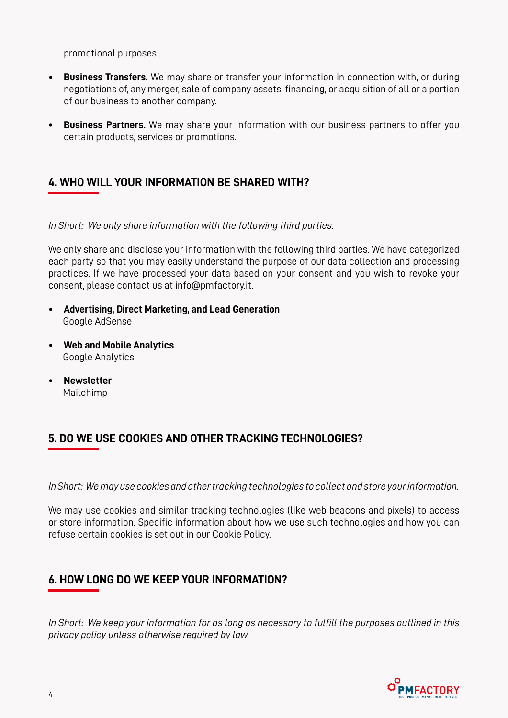promotional purposes.

- **• Business Transfers.** We may share or transfer your information in connection with, or during negotiations of, any merger, sale of company assets, financing, or acquisition of all or a portion of our business to another company.
- **• Business Partners.** We may share your information with our business partners to offer you certain products, services or promotions.

#### **4. WHO WILL YOUR INFORMATION BE SHARED WITH?**

*In Short: We only share information with the following third parties.*

We only share and disclose your information with the following third parties. We have categorized each party so that you may easily understand the purpose of our data collection and processing practices. If we have processed your data based on your consent and you wish to revoke your consent, please contact us at info@pmfactory.it.

- **• Advertising, Direct Marketing, and Lead Generation** Google AdSense
- **• Web and Mobile Analytics** Google Analytics
- **• Newsletter** Mailchimp

#### **5. DO WE USE COOKIES AND OTHER TRACKING TECHNOLOGIES?**

*In Short: We may use cookies and other tracking technologies to collect and store your information.*

We may use cookies and similar tracking technologies (like web beacons and pixels) to access or store information. Specific information about how we use such technologies and how you can refuse certain cookies is set out in our Cookie Policy.

# **6. HOW LONG DO WE KEEP YOUR INFORMATION?**

*In Short: We keep your information for as long as necessary to fulfill the purposes outlined in this privacy policy unless otherwise required by law.*

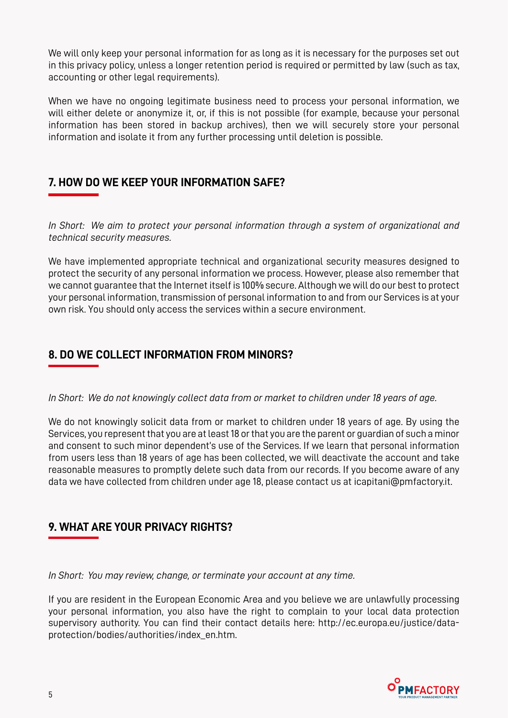We will only keep your personal information for as long as it is necessary for the purposes set out in this privacy policy, unless a longer retention period is required or permitted by law (such as tax, accounting or other legal requirements).

When we have no ongoing legitimate business need to process your personal information, we will either delete or anonymize it, or, if this is not possible (for example, because your personal information has been stored in backup archives), then we will securely store your personal information and isolate it from any further processing until deletion is possible.

#### **7. HOW DO WE KEEP YOUR INFORMATION SAFE?**

*In Short: We aim to protect your personal information through a system of organizational and technical security measures.*

We have implemented appropriate technical and organizational security measures designed to protect the security of any personal information we process. However, please also remember that we cannot guarantee that the Internet itself is 100% secure. Although we will do our best to protect your personal information, transmission of personal information to and from our Services is at your own risk. You should only access the services within a secure environment.

### **8. DO WE COLLECT INFORMATION FROM MINORS?**

*In Short: We do not knowingly collect data from or market to children under 18 years of age.*

We do not knowingly solicit data from or market to children under 18 years of age. By using the Services, you represent that you are at least 18 or that you are the parent or guardian of such a minor and consent to such minor dependent's use of the Services. If we learn that personal information from users less than 18 years of age has been collected, we will deactivate the account and take reasonable measures to promptly delete such data from our records. If you become aware of any data we have collected from children under age 18, please contact us at icapitani@pmfactory.it.

# **9. WHAT ARE YOUR PRIVACY RIGHTS?**

*In Short: You may review, change, or terminate your account at any time.*

If you are resident in the European Economic Area and you believe we are unlawfully processing your personal information, you also have the right to complain to your local data protection supervisory authority. You can find their contact details here: http://ec.europa.eu/justice/dataprotection/bodies/authorities/index\_en.htm.

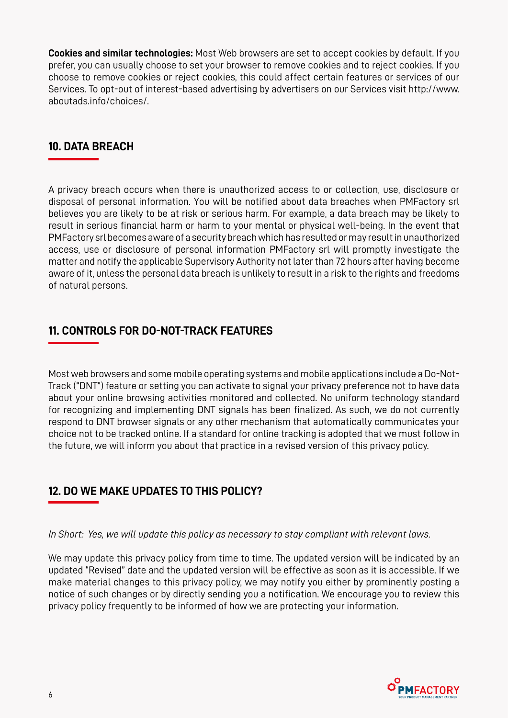**Cookies and similar technologies:** Most Web browsers are set to accept cookies by default. If you prefer, you can usually choose to set your browser to remove cookies and to reject cookies. If you choose to remove cookies or reject cookies, this could affect certain features or services of our Services. To opt-out of interest-based advertising by advertisers on our Services visit http://www. aboutads.info/choices/.

#### **10. DATA BREACH**

A privacy breach occurs when there is unauthorized access to or collection, use, disclosure or disposal of personal information. You will be notified about data breaches when PMFactory srl believes you are likely to be at risk or serious harm. For example, a data breach may be likely to result in serious financial harm or harm to your mental or physical well-being. In the event that PMFactory srl becomes aware of a security breach which has resulted or may result in unauthorized access, use or disclosure of personal information PMFactory srl will promptly investigate the matter and notify the applicable Supervisory Authority not later than 72 hours after having become aware of it, unless the personal data breach is unlikely to result in a risk to the rights and freedoms of natural persons.

#### **11. CONTROLS FOR DO-NOT-TRACK FEATURES**

Most web browsers and some mobile operating systems and mobile applications include a Do-Not-Track ("DNT") feature or setting you can activate to signal your privacy preference not to have data about your online browsing activities monitored and collected. No uniform technology standard for recognizing and implementing DNT signals has been finalized. As such, we do not currently respond to DNT browser signals or any other mechanism that automatically communicates your choice not to be tracked online. If a standard for online tracking is adopted that we must follow in the future, we will inform you about that practice in a revised version of this privacy policy.

# **12. DO WE MAKE UPDATES TO THIS POLICY?**

*In Short: Yes, we will update this policy as necessary to stay compliant with relevant laws.*

We may update this privacy policy from time to time. The updated version will be indicated by an updated "Revised" date and the updated version will be effective as soon as it is accessible. If we make material changes to this privacy policy, we may notify you either by prominently posting a notice of such changes or by directly sending you a notification. We encourage you to review this privacy policy frequently to be informed of how we are protecting your information.